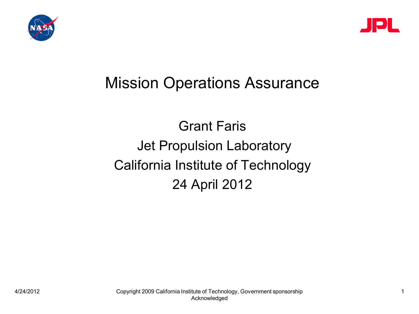



## Mission Operations Assurance

## Grant Faris Jet Propulsion Laboratory California Institute of Technology 24 April 2012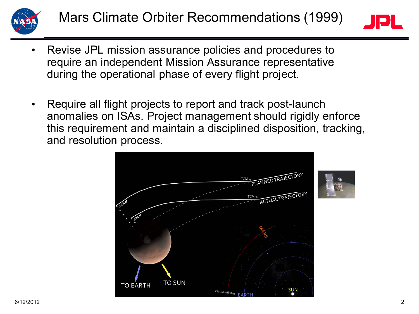



- Revise JPL mission assurance policies and procedures to require an independent Mission Assurance representative during the operational phase of every flight project.
- Require all flight projects to report and track post-launch anomalies on ISAs. Project management should rigidly enforce this requirement and maintain a disciplined disposition, tracking, and resolution process.



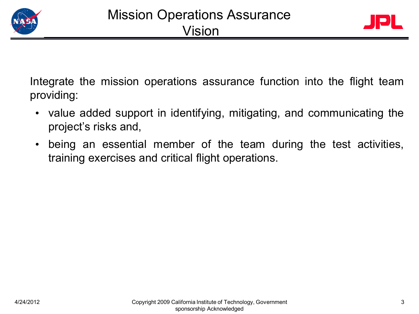



Integrate the mission operations assurance function into the flight team providing:

- value added support in identifying, mitigating, and communicating the project's risks and,
- being an essential member of the team during the test activities, training exercises and critical flight operations.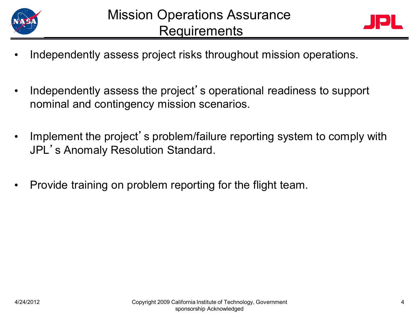



- Independently assess project risks throughout mission operations.
- Independently assess the project' s operational readiness to support nominal and contingency mission scenarios.
- Implement the project' s problem/failure reporting system to comply with JPL's Anomaly Resolution Standard.
- Provide training on problem reporting for the flight team.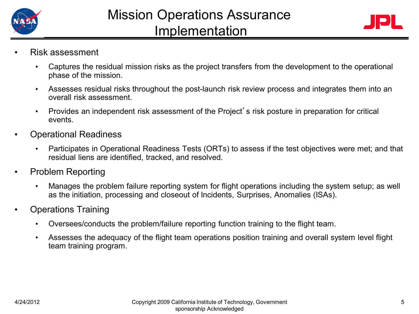



- Risk assessment
	- Captures the residual mission risks as the project transfers from the development to the operational phase of the mission.
	- Assesses residual risks throughout the post-launch risk review process and integrates them into an overall risk assessment.
	- Provides an independent risk assessment of the Project's risk posture in preparation for critical events.
- Operational Readiness
	- Participates in Operational Readiness Tests (ORTs) to assess if the test objectives were met; and that residual liens are identified, tracked, and resolved.
- Problem Reporting
	- Manages the problem failure reporting system for flight operations including the system setup; as well as the initiation, processing and closeout of Incidents, Surprises, Anomalies (ISAs).
- Operations Training
	- Oversees/conducts the problem/failure reporting function training to the flight team.
	- Assesses the adequacy of the flight team operations position training and overall system level flight team training program.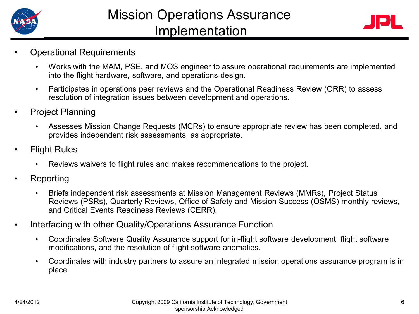



- Operational Requirements
	- Works with the MAM, PSE, and MOS engineer to assure operational requirements are implemented into the flight hardware, software, and operations design.
	- Participates in operations peer reviews and the Operational Readiness Review (ORR) to assess resolution of integration issues between development and operations.
- Project Planning
	- Assesses Mission Change Requests (MCRs) to ensure appropriate review has been completed, and provides independent risk assessments, as appropriate.
- **Flight Rules** 
	- Reviews waivers to flight rules and makes recommendations to the project.
- Reporting
	- Briefs independent risk assessments at Mission Management Reviews (MMRs), Project Status Reviews (PSRs), Quarterly Reviews, Office of Safety and Mission Success (OSMS) monthly reviews, and Critical Events Readiness Reviews (CERR).
- Interfacing with other Quality/Operations Assurance Function
	- Coordinates Software Quality Assurance support for in-flight software development, flight software modifications, and the resolution of flight software anomalies.
	- Coordinates with industry partners to assure an integrated mission operations assurance program is in place.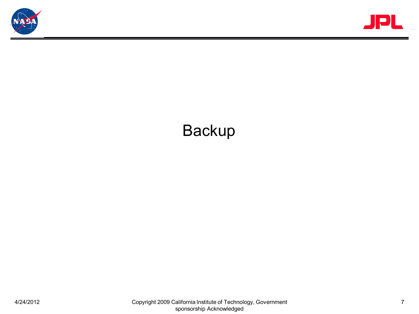



## Backup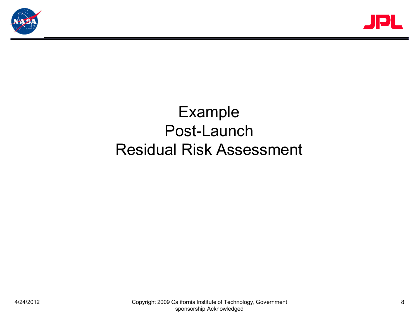



## Example Post-Launch Residual Risk Assessment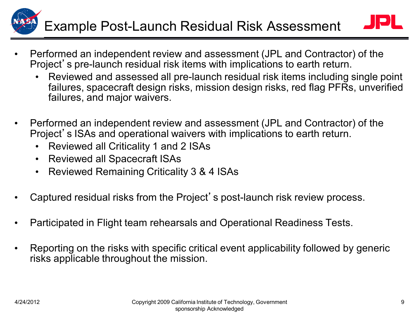# Example Post-Launch Residual Risk Assessment

- 
- Performed an independent review and assessment (JPL and Contractor) of the Project's pre-launch residual risk items with implications to earth return.
	- Reviewed and assessed all pre-launch residual risk items including single point failures, spacecraft design risks, mission design risks, red flag PFRs, unverified failures, and major waivers.
- Performed an independent review and assessment (JPL and Contractor) of the Project's ISAs and operational waivers with implications to earth return.
	- Reviewed all Criticality 1 and 2 ISAs
	- Reviewed all Spacecraft ISAs
	- Reviewed Remaining Criticality 3 & 4 ISAs
- Captured residual risks from the Project's post-launch risk review process.
- Participated in Flight team rehearsals and Operational Readiness Tests.
- Reporting on the risks with specific critical event applicability followed by generic risks applicable throughout the mission.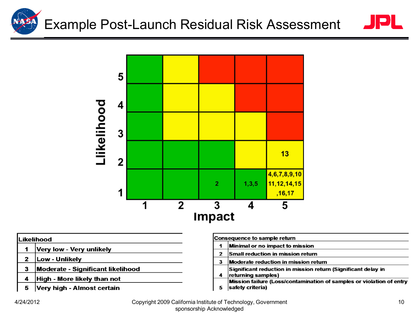



#### .ikelihood

- $\ddot{\mathbf{1}}$ Very low - Very unlikely
- Low Unlikely  $\mathbf{2}$
- Moderate Significant likelihood 3
- High More likely than not  $\overline{\mathbf{A}}$
- Very high Almost certain 5

|   | Consequence to sample return                                                             |
|---|------------------------------------------------------------------------------------------|
| 1 | Minimal or no impact to mission                                                          |
| 2 | Small reduction in mission return                                                        |
| 3 | Moderate reduction in mission return                                                     |
| 4 | Significant reduction in mission return (Significant delay in<br>returning samples)      |
| 5 | Mission failure (Loss/contamination of samples or violation of entry<br>safety criteria) |

4/24/2012 Copyright 2009 California Institute of Technology, Government sponsorship Acknowledged

 $\blacksquare$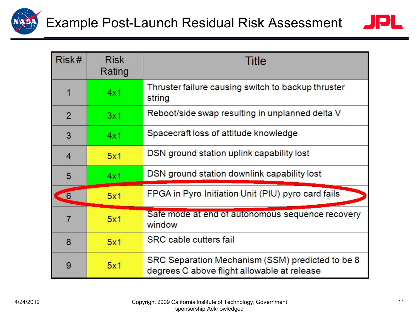



| Risk#          | <b>Risk</b><br>Rating | <b>Title</b>                                                                                    |  |  |  |
|----------------|-----------------------|-------------------------------------------------------------------------------------------------|--|--|--|
|                | 4x1                   | Thruster failure causing switch to backup thruster<br>string                                    |  |  |  |
| $\overline{2}$ | 3x1                   | Reboot/side swap resulting in unplanned delta V                                                 |  |  |  |
| 3              | 4x1                   | Spacecraft loss of attitude knowledge                                                           |  |  |  |
| 4              | 5x1                   | DSN ground station uplink capability lost                                                       |  |  |  |
| 5              | 4x1                   | DSN ground station downlink capability lost                                                     |  |  |  |
| $\epsilon$     | 5x1                   | FPGA in Pyro Initiation Unit (PIU) pyro card fails                                              |  |  |  |
|                | 5x1                   | Safe mode at end of autonomous sequence recovery<br>window                                      |  |  |  |
| 8              | 5x1                   | <b>SRC</b> cable cutters fail                                                                   |  |  |  |
| 9              | 5x1                   | SRC Separation Mechanism (SSM) predicted to be 8<br>degrees C above flight allowable at release |  |  |  |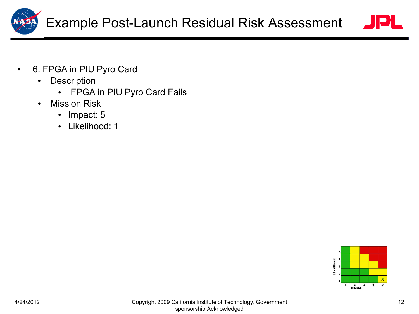



- Description
	- FPGA in PIU Pyro Card Fails
- Mission Risk
	- Impact: 5
	- Likelihood: 1

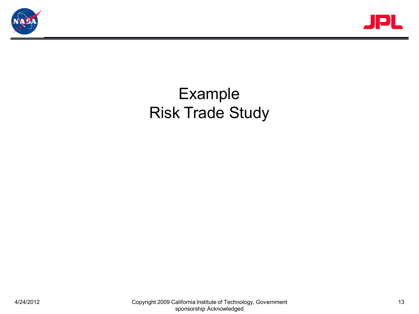



## Example Risk Trade Study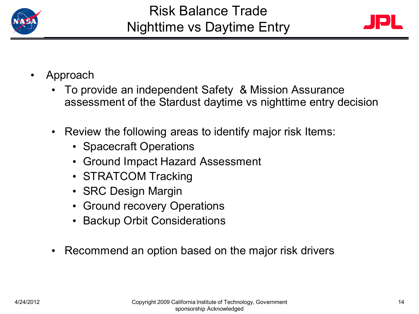



- Approach
	- To provide an independent Safety & Mission Assurance assessment of the Stardust daytime vs nighttime entry decision
	- Review the following areas to identify major risk Items:
		- Spacecraft Operations
		- Ground Impact Hazard Assessment
		- STRATCOM Tracking
		- SRC Design Margin
		- Ground recovery Operations
		- Backup Orbit Considerations
	- Recommend an option based on the major risk drivers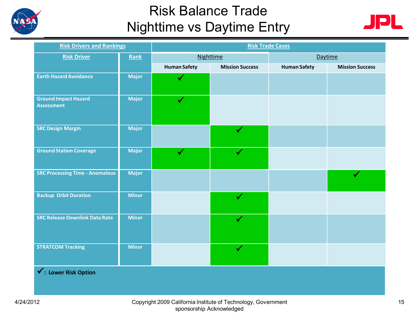

### Risk Balance Trade Nighttime vs Daytime Entry



| <b>Risk Drivers and Rankings</b>                 |              | <b>Risk Trade Cases</b> |                        |                     |                        |  |  |  |
|--------------------------------------------------|--------------|-------------------------|------------------------|---------------------|------------------------|--|--|--|
| <b>Risk Driver</b>                               | Rank         | <b>Nighttime</b>        |                        | Daytime             |                        |  |  |  |
|                                                  |              | <b>Human Safety</b>     | <b>Mission Success</b> | <b>Human Safety</b> | <b>Mission Success</b> |  |  |  |
| <b>Earth Hazard Avoidance</b>                    | <b>Major</b> |                         |                        |                     |                        |  |  |  |
| <b>Ground Impact Hazard</b><br><b>Assessment</b> | <b>Major</b> | $\checkmark$            |                        |                     |                        |  |  |  |
| <b>SRC Design Margin</b>                         | <b>Major</b> |                         |                        |                     |                        |  |  |  |
| <b>Ground Station Coverage</b>                   | <b>Major</b> | $\checkmark$            | $\checkmark$           |                     |                        |  |  |  |
| <b>SRC Processing Time - Anomalous</b>           | <b>Major</b> |                         |                        |                     |                        |  |  |  |
| <b>Backup Orbit Duration</b>                     | <b>Minor</b> |                         | $\checkmark$           |                     |                        |  |  |  |
| <b>SRC Release Downlink Data Rate</b>            | <b>Minor</b> |                         | $\checkmark$           |                     |                        |  |  |  |
| <b>STRATCOM Tracking</b>                         | <b>Minor</b> |                         | $\checkmark$           |                     |                        |  |  |  |
| √: Lower Risk Option                             |              |                         |                        |                     |                        |  |  |  |